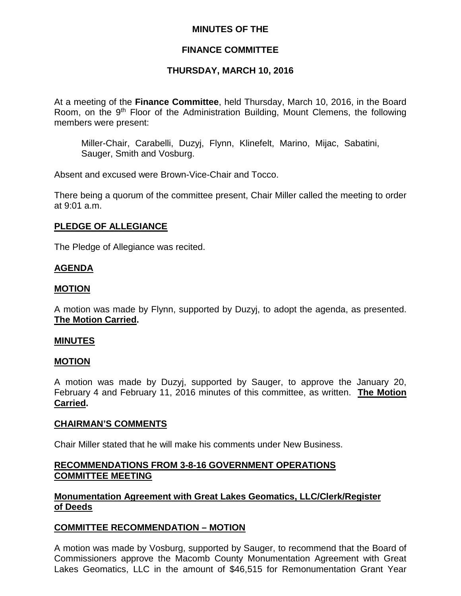## **MINUTES OF THE**

## **FINANCE COMMITTEE**

## **THURSDAY, MARCH 10, 2016**

At a meeting of the **Finance Committee**, held Thursday, March 10, 2016, in the Board Room, on the 9<sup>th</sup> Floor of the Administration Building, Mount Clemens, the following members were present:

Miller-Chair, Carabelli, Duzyj, Flynn, Klinefelt, Marino, Mijac, Sabatini, Sauger, Smith and Vosburg.

Absent and excused were Brown-Vice-Chair and Tocco.

There being a quorum of the committee present, Chair Miller called the meeting to order at 9:01 a.m.

### **PLEDGE OF ALLEGIANCE**

The Pledge of Allegiance was recited.

## **AGENDA**

### **MOTION**

A motion was made by Flynn, supported by Duzyj, to adopt the agenda, as presented. **The Motion Carried.**

#### **MINUTES**

#### **MOTION**

A motion was made by Duzyj, supported by Sauger, to approve the January 20, February 4 and February 11, 2016 minutes of this committee, as written. **The Motion Carried.**

#### **CHAIRMAN'S COMMENTS**

Chair Miller stated that he will make his comments under New Business.

### **RECOMMENDATIONS FROM 3-8-16 GOVERNMENT OPERATIONS COMMITTEE MEETING**

## **Monumentation Agreement with Great Lakes Geomatics, LLC/Clerk/Register of Deeds**

## **COMMITTEE RECOMMENDATION – MOTION**

A motion was made by Vosburg, supported by Sauger, to recommend that the Board of Commissioners approve the Macomb County Monumentation Agreement with Great Lakes Geomatics, LLC in the amount of \$46,515 for Remonumentation Grant Year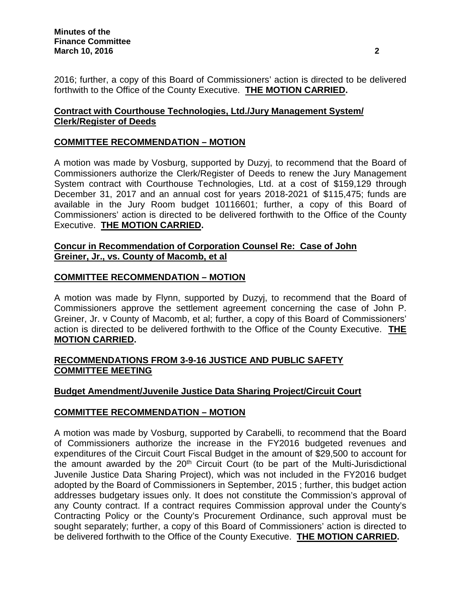2016; further, a copy of this Board of Commissioners' action is directed to be delivered forthwith to the Office of the County Executive. **THE MOTION CARRIED.**

# **Contract with Courthouse Technologies, Ltd./Jury Management System/ Clerk/Register of Deeds**

# **COMMITTEE RECOMMENDATION – MOTION**

A motion was made by Vosburg, supported by Duzyj, to recommend that the Board of Commissioners authorize the Clerk/Register of Deeds to renew the Jury Management System contract with Courthouse Technologies, Ltd. at a cost of \$159,129 through December 31, 2017 and an annual cost for years 2018-2021 of \$115,475; funds are available in the Jury Room budget 10116601; further, a copy of this Board of Commissioners' action is directed to be delivered forthwith to the Office of the County Executive. **THE MOTION CARRIED.**

## **Concur in Recommendation of Corporation Counsel Re: Case of John Greiner, Jr., vs. County of Macomb, et al**

## **COMMITTEE RECOMMENDATION – MOTION**

A motion was made by Flynn, supported by Duzyj, to recommend that the Board of Commissioners approve the settlement agreement concerning the case of John P. Greiner, Jr. v County of Macomb, et al; further, a copy of this Board of Commissioners' action is directed to be delivered forthwith to the Office of the County Executive. **THE MOTION CARRIED.**

## **RECOMMENDATIONS FROM 3-9-16 JUSTICE AND PUBLIC SAFETY COMMITTEE MEETING**

## **Budget Amendment/Juvenile Justice Data Sharing Project/Circuit Court**

## **COMMITTEE RECOMMENDATION – MOTION**

A motion was made by Vosburg, supported by Carabelli, to recommend that the Board of Commissioners authorize the increase in the FY2016 budgeted revenues and expenditures of the Circuit Court Fiscal Budget in the amount of \$29,500 to account for the amount awarded by the  $20<sup>th</sup>$  Circuit Court (to be part of the Multi-Jurisdictional Juvenile Justice Data Sharing Project), which was not included in the FY2016 budget adopted by the Board of Commissioners in September, 2015 ; further, this budget action addresses budgetary issues only. It does not constitute the Commission's approval of any County contract. If a contract requires Commission approval under the County's Contracting Policy or the County's Procurement Ordinance, such approval must be sought separately; further, a copy of this Board of Commissioners' action is directed to be delivered forthwith to the Office of the County Executive. **THE MOTION CARRIED.**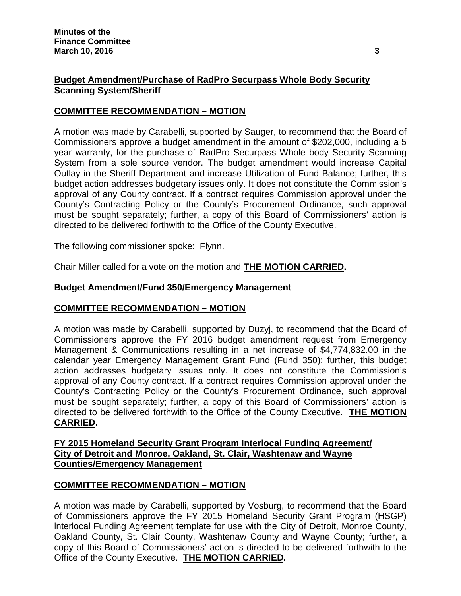## **Budget Amendment/Purchase of RadPro Securpass Whole Body Security Scanning System/Sheriff**

## **COMMITTEE RECOMMENDATION – MOTION**

A motion was made by Carabelli, supported by Sauger, to recommend that the Board of Commissioners approve a budget amendment in the amount of \$202,000, including a 5 year warranty, for the purchase of RadPro Securpass Whole body Security Scanning System from a sole source vendor. The budget amendment would increase Capital Outlay in the Sheriff Department and increase Utilization of Fund Balance; further, this budget action addresses budgetary issues only. It does not constitute the Commission's approval of any County contract. If a contract requires Commission approval under the County's Contracting Policy or the County's Procurement Ordinance, such approval must be sought separately; further, a copy of this Board of Commissioners' action is directed to be delivered forthwith to the Office of the County Executive.

The following commissioner spoke: Flynn.

Chair Miller called for a vote on the motion and **THE MOTION CARRIED.**

## **Budget Amendment/Fund 350/Emergency Management**

#### **COMMITTEE RECOMMENDATION – MOTION**

A motion was made by Carabelli, supported by Duzyj, to recommend that the Board of Commissioners approve the FY 2016 budget amendment request from Emergency Management & Communications resulting in a net increase of \$4,774,832.00 in the calendar year Emergency Management Grant Fund (Fund 350); further, this budget action addresses budgetary issues only. It does not constitute the Commission's approval of any County contract. If a contract requires Commission approval under the County's Contracting Policy or the County's Procurement Ordinance, such approval must be sought separately; further, a copy of this Board of Commissioners' action is directed to be delivered forthwith to the Office of the County Executive. **THE MOTION CARRIED.**

## **FY 2015 Homeland Security Grant Program Interlocal Funding Agreement/ City of Detroit and Monroe, Oakland, St. Clair, Washtenaw and Wayne Counties/Emergency Management**

## **COMMITTEE RECOMMENDATION – MOTION**

A motion was made by Carabelli, supported by Vosburg, to recommend that the Board of Commissioners approve the FY 2015 Homeland Security Grant Program (HSGP) lnterlocal Funding Agreement template for use with the City of Detroit, Monroe County, Oakland County, St. Clair County, Washtenaw County and Wayne County; further, a copy of this Board of Commissioners' action is directed to be delivered forthwith to the Office of the County Executive. **THE MOTION CARRIED.**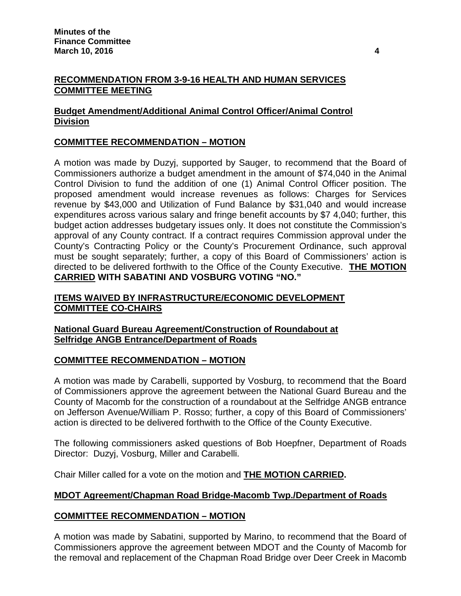## **RECOMMENDATION FROM 3-9-16 HEALTH AND HUMAN SERVICES COMMITTEE MEETING**

# **Budget Amendment/Additional Animal Control Officer/Animal Control Division**

# **COMMITTEE RECOMMENDATION – MOTION**

A motion was made by Duzyj, supported by Sauger, to recommend that the Board of Commissioners authorize a budget amendment in the amount of \$74,040 in the Animal Control Division to fund the addition of one (1) Animal Control Officer position. The proposed amendment would increase revenues as follows: Charges for Services revenue by \$43,000 and Utilization of Fund Balance by \$31,040 and would increase expenditures across various salary and fringe benefit accounts by \$7 4,040; further, this budget action addresses budgetary issues only. It does not constitute the Commission's approval of any County contract. If a contract requires Commission approval under the County's Contracting Policy or the County's Procurement Ordinance, such approval must be sought separately; further, a copy of this Board of Commissioners' action is directed to be delivered forthwith to the Office of the County Executive. **THE MOTION CARRIED WITH SABATINI AND VOSBURG VOTING "NO."**

# **ITEMS WAIVED BY INFRASTRUCTURE/ECONOMIC DEVELOPMENT COMMITTEE CO-CHAIRS**

## **National Guard Bureau Agreement/Construction of Roundabout at Selfridge ANGB Entrance/Department of Roads**

## **COMMITTEE RECOMMENDATION – MOTION**

A motion was made by Carabelli, supported by Vosburg, to recommend that the Board of Commissioners approve the agreement between the National Guard Bureau and the County of Macomb for the construction of a roundabout at the Selfridge ANGB entrance on Jefferson Avenue/William P. Rosso; further, a copy of this Board of Commissioners' action is directed to be delivered forthwith to the Office of the County Executive.

The following commissioners asked questions of Bob Hoepfner, Department of Roads Director: Duzyj, Vosburg, Miller and Carabelli.

Chair Miller called for a vote on the motion and **THE MOTION CARRIED.**

## **MDOT Agreement/Chapman Road Bridge-Macomb Twp./Department of Roads**

## **COMMITTEE RECOMMENDATION – MOTION**

A motion was made by Sabatini, supported by Marino, to recommend that the Board of Commissioners approve the agreement between MDOT and the County of Macomb for the removal and replacement of the Chapman Road Bridge over Deer Creek in Macomb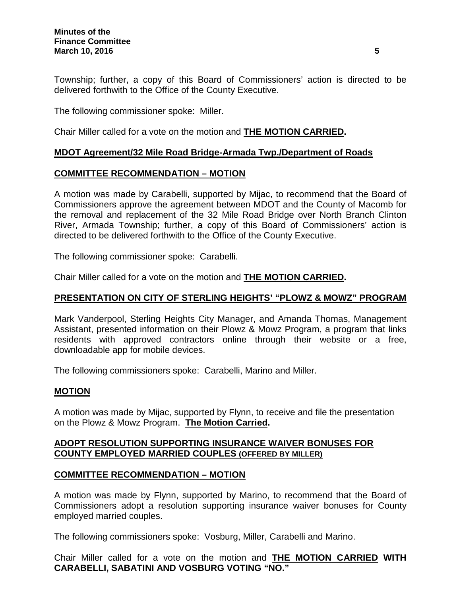Township; further, a copy of this Board of Commissioners' action is directed to be delivered forthwith to the Office of the County Executive.

The following commissioner spoke: Miller.

Chair Miller called for a vote on the motion and **THE MOTION CARRIED.**

### **MDOT Agreement/32 Mile Road Bridge-Armada Twp./Department of Roads**

### **COMMITTEE RECOMMENDATION – MOTION**

A motion was made by Carabelli, supported by Mijac, to recommend that the Board of Commissioners approve the agreement between MDOT and the County of Macomb for the removal and replacement of the 32 Mile Road Bridge over North Branch Clinton River, Armada Township; further, a copy of this Board of Commissioners' action is directed to be delivered forthwith to the Office of the County Executive.

The following commissioner spoke: Carabelli.

Chair Miller called for a vote on the motion and **THE MOTION CARRIED.**

## **PRESENTATION ON CITY OF STERLING HEIGHTS' "PLOWZ & MOWZ" PROGRAM**

Mark Vanderpool, Sterling Heights City Manager, and Amanda Thomas, Management Assistant, presented information on their Plowz & Mowz Program, a program that links residents with approved contractors online through their website or a free, downloadable app for mobile devices.

The following commissioners spoke: Carabelli, Marino and Miller.

#### **MOTION**

A motion was made by Mijac, supported by Flynn, to receive and file the presentation on the Plowz & Mowz Program. **The Motion Carried.**

### **ADOPT RESOLUTION SUPPORTING INSURANCE WAIVER BONUSES FOR COUNTY EMPLOYED MARRIED COUPLES (OFFERED BY MILLER)**

#### **COMMITTEE RECOMMENDATION – MOTION**

A motion was made by Flynn, supported by Marino, to recommend that the Board of Commissioners adopt a resolution supporting insurance waiver bonuses for County employed married couples.

The following commissioners spoke: Vosburg, Miller, Carabelli and Marino.

Chair Miller called for a vote on the motion and **THE MOTION CARRIED WITH CARABELLI, SABATINI AND VOSBURG VOTING "NO."**